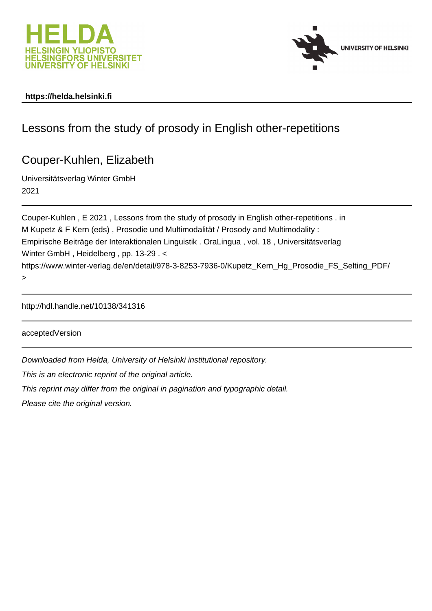



### **https://helda.helsinki.fi**

# Lessons from the study of prosody in English other-repetitions

# Couper-Kuhlen, Elizabeth

Universitätsverlag Winter GmbH 2021

Couper-Kuhlen , E 2021 , Lessons from the study of prosody in English other-repetitions . in M Kupetz & F Kern (eds) , Prosodie und Multimodalität / Prosody and Multimodality : Empirische Beiträge der Interaktionalen Linguistik . OraLingua , vol. 18 , Universitätsverlag Winter GmbH , Heidelberg , pp. 13-29 . < https://www.winter-verlag.de/en/detail/978-3-8253-7936-0/Kupetz Kern Hg Prosodie FS Selting PDF/ >

http://hdl.handle.net/10138/341316

acceptedVersion

Downloaded from Helda, University of Helsinki institutional repository.

This is an electronic reprint of the original article.

This reprint may differ from the original in pagination and typographic detail.

Please cite the original version.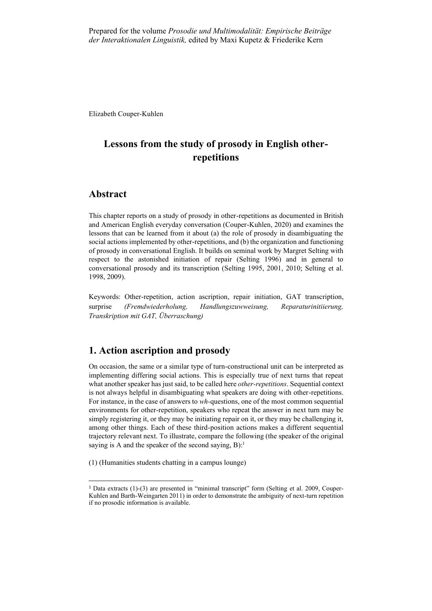Elizabeth Couper-Kuhlen

# **Lessons from the study of prosody in English otherrepetitions**

## **Abstract**

This chapter reports on a study of prosody in other-repetitions as documented in British and American English everyday conversation (Couper-Kuhlen, 2020) and examines the lessons that can be learned from it about (a) the role of prosody in disambiguating the social actions implemented by other-repetitions, and (b) the organization and functioning of prosody in conversational English. It builds on seminal work by Margret Selting with respect to the astonished initiation of repair (Selting 1996) and in general to conversational prosody and its transcription (Selting 1995, 2001, 2010; Selting et al. 1998, 2009).

Keywords: Other-repetition, action ascription, repair initiation, GAT transcription, surprise *(Fremdwiederholung, Handlungszuwweisung, Reparaturinitiierung, Transkription mit GAT, Überraschung)*

## **1. Action ascription and prosody**

On occasion, the same or a similar type of turn-constructional unit can be interpreted as implementing differing social actions. This is especially true of next turns that repeat what another speaker has just said, to be called here *other-repetitions*. Sequential context is not always helpful in disambiguating what speakers are doing with other-repetitions. For instance, in the case of answers to *wh-*questions, one of the most common sequential environments for other-repetition, speakers who repeat the answer in next turn may be simply registering it, or they may be initiating repair on it, or they may be challenging it, among other things. Each of these third-position actions makes a different sequential trajectory relevant next. To illustrate, compare the following (the speaker of the original saying is A and the speaker of the second saying,  $B$ ):<sup>1</sup>

(1) (Humanities students chatting in a campus lounge)

<sup>1</sup> Data extracts (1)-(3) are presented in "minimal transcript" form (Selting et al. 2009, Couper-Kuhlen and Barth-Weingarten 2011) in order to demonstrate the ambiguity of next-turn repetition if no prosodic information is available.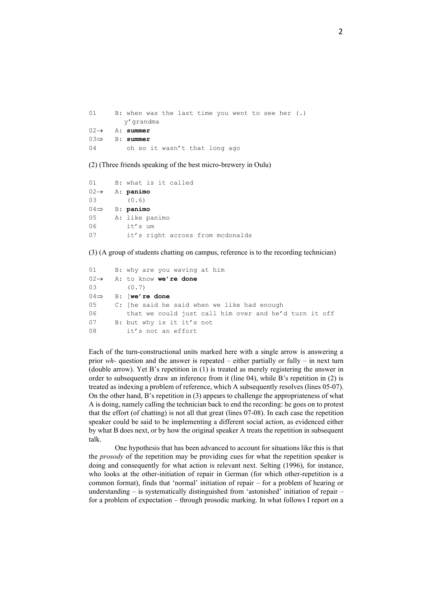| 01 —                             |                               |  |  | B: when was the last time you went to see her $(.)$ |  |  |
|----------------------------------|-------------------------------|--|--|-----------------------------------------------------|--|--|
|                                  | y'qrandma                     |  |  |                                                     |  |  |
| $02 \rightarrow \quad$ A: summer |                               |  |  |                                                     |  |  |
| $03 \Rightarrow B: summer$       |                               |  |  |                                                     |  |  |
| 04                               | oh so it wasn't that long ago |  |  |                                                     |  |  |

(2) (Three friends speaking of the best micro-brewery in Oulu)

| 01 | B: what is it called             |
|----|----------------------------------|
|    | $02 \rightarrow \quad A:$ panimo |
| 03 | (0.6)                            |
|    | $04 \Rightarrow B:$ panimo       |
| 05 | A: like panimo                   |
| 06 | it's um                          |
| 07 | it's right across from mcdonalds |
|    |                                  |

(3) (A group of students chatting on campus, reference is to the recording technician)

```
01 B: why are you waving at him
02→ A: to know we're done
03 (0.7)
04 B: [we're done
05 C: [he said he said when we like had enough 
06 that we could just call him over and he'd turn it off
07 B: but why is it it's not
08 it's not an effort
```
Each of the turn-constructional units marked here with a single arrow is answering a prior *wh-* question and the answer is repeated – either partially or fully – in next turn (double arrow). Yet B's repetition in (1) is treated as merely registering the answer in order to subsequently draw an inference from it (line 04), while B's repetition in (2) is treated as indexing a problem of reference, which A subsequently resolves (lines 05-07). On the other hand, B's repetition in (3) appears to challenge the appropriateness of what A is doing, namely calling the technician back to end the recording: he goes on to protest that the effort (of chatting) is not all that great (lines 07-08). In each case the repetition speaker could be said to be implementing a different social action, as evidenced either by what B does next, or by how the original speaker A treats the repetition in subsequent talk.

One hypothesis that has been advanced to account for situations like this is that the *prosody* of the repetition may be providing cues for what the repetition speaker is doing and consequently for what action is relevant next. Selting (1996), for instance, who looks at the other-initiation of repair in German (for which other-repetition is a common format), finds that 'normal' initiation of repair – for a problem of hearing or understanding – is systematically distinguished from 'astonished' initiation of repair – for a problem of expectation – through prosodic marking. In what follows I report on a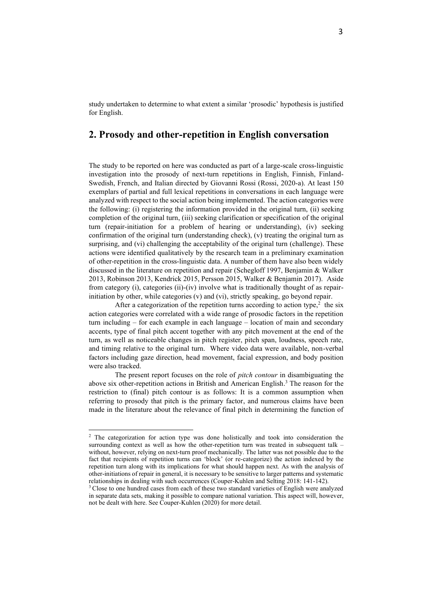study undertaken to determine to what extent a similar 'prosodic' hypothesis is justified for English.

### **2. Prosody and other-repetition in English conversation**

The study to be reported on here was conducted as part of a large-scale cross-linguistic investigation into the prosody of next-turn repetitions in English, Finnish, Finland-Swedish, French, and Italian directed by Giovanni Rossi (Rossi, 2020-a). At least 150 exemplars of partial and full lexical repetitions in conversations in each language were analyzed with respect to the social action being implemented. The action categories were the following: (i) registering the information provided in the original turn, (ii) seeking completion of the original turn, (iii) seeking clarification or specification of the original turn (repair-initiation for a problem of hearing or understanding), (iv) seeking confirmation of the original turn (understanding check), (v) treating the original turn as surprising, and (vi) challenging the acceptability of the original turn (challenge). These actions were identified qualitatively by the research team in a preliminary examination of other-repetition in the cross-linguistic data. A number of them have also been widely discussed in the literature on repetition and repair (Schegloff 1997, Benjamin & Walker 2013, Robinson 2013, Kendrick 2015, Persson 2015, Walker & Benjamin 2017). Aside from category (i), categories (ii)-(iv) involve what is traditionally thought of as repairinitiation by other, while categories (v) and (vi), strictly speaking, go beyond repair.

After a categorization of the repetition turns according to action type,<sup>2</sup> the six action categories were correlated with a wide range of prosodic factors in the repetition turn including – for each example in each language – location of main and secondary accents, type of final pitch accent together with any pitch movement at the end of the turn, as well as noticeable changes in pitch register, pitch span, loudness, speech rate, and timing relative to the original turn. Where video data were available, non-verbal factors including gaze direction, head movement, facial expression, and body position were also tracked.

The present report focuses on the role of *pitch contour* in disambiguating the above six other-repetition actions in British and American English. <sup>3</sup> The reason for the restriction to (final) pitch contour is as follows: It is a common assumption when referring to prosody that pitch is the primary factor, and numerous claims have been made in the literature about the relevance of final pitch in determining the function of

<sup>&</sup>lt;sup>2</sup> The categorization for action type was done holistically and took into consideration the surrounding context as well as how the other-repetition turn was treated in subsequent talk – without, however, relying on next-turn proof mechanically. The latter was not possible due to the fact that recipients of repetition turns can 'block' (or re-categorize) the action indexed by the repetition turn along with its implications for what should happen next. As with the analysis of other-initiations of repair in general, it is necessary to be sensitive to larger patterns and systematic relationships in dealing with such occurrences (Couper-Kuhlen and Selting 2018: 141-142).

<sup>&</sup>lt;sup>3</sup> Close to one hundred cases from each of these two standard varieties of English were analyzed in separate data sets, making it possible to compare national variation. This aspect will, however, not be dealt with here. See Couper-Kuhlen (2020) for more detail.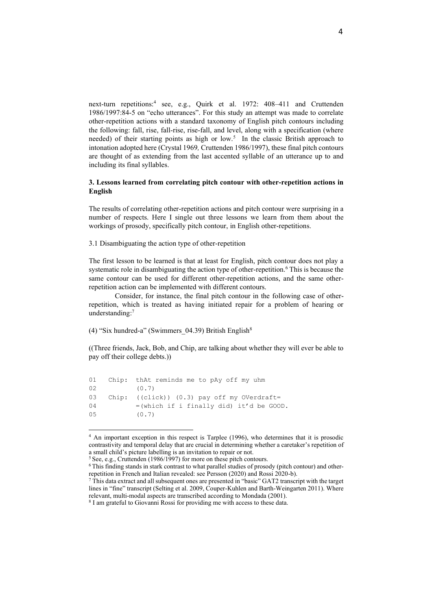next-turn repetitions:<sup>4</sup> see, e.g., Quirk et al. 1972: 408–411 and Cruttenden 1986/1997:84-5 on "echo utterances". For this study an attempt was made to correlate other-repetition actions with a standard taxonomy of English pitch contours including the following: fall, rise, fall-rise, rise-fall, and level, along with a specification (where needed) of their starting points as high or low.<sup>5</sup> In the classic British approach to intonation adopted here (Crystal 1969*,* Cruttenden 1986/1997), these final pitch contours are thought of as extending from the last accented syllable of an utterance up to and including its final syllables.

#### **3. Lessons learned from correlating pitch contour with other-repetition actions in English**

The results of correlating other-repetition actions and pitch contour were surprising in a number of respects. Here I single out three lessons we learn from them about the workings of prosody, specifically pitch contour, in English other-repetitions.

3.1 Disambiguating the action type of other-repetition

The first lesson to be learned is that at least for English, pitch contour does not play a systematic role in disambiguating the action type of other-repetition.<sup>6</sup> This is because the same contour can be used for different other-repetition actions, and the same otherrepetition action can be implemented with different contours.

Consider, for instance, the final pitch contour in the following case of otherrepetition, which is treated as having initiated repair for a problem of hearing or understanding:<sup>7</sup>

(4) "Six hundred-a" (Swimmers\_04.39) British English<sup>8</sup>

((Three friends, Jack, Bob, and Chip, are talking about whether they will ever be able to pay off their college debts.))

| Chip: thAt reminds me to pAy off my uhm         |
|-------------------------------------------------|
| (0.7)                                           |
| Chip: $((click))$ $(0.3)$ pay off my OVerdraft= |
| $=(which if i finally did) it'd be GOOD.$       |
| (0.7)                                           |
|                                                 |

<sup>&</sup>lt;sup>4</sup> An important exception in this respect is Tarplee (1996), who determines that it is prosodic contrastivity and temporal delay that are crucial in determining whether a caretaker's repetition of a small child's picture labelling is an invitation to repair or not.

<sup>&</sup>lt;sup>5</sup> See, e.g., Cruttenden (1986/1997) for more on these pitch contours.

<sup>6</sup> This finding stands in stark contrast to what parallel studies of prosody (pitch contour) and otherrepetition in French and Italian revealed: see Persson (2020) and Rossi 2020-b).

 $7$  This data extract and all subsequent ones are presented in "basic" GAT2 transcript with the target lines in "fine" transcript (Selting et al. 2009, Couper-Kuhlen and Barth-Weingarten 2011). Where relevant, multi-modal aspects are transcribed according to Mondada (2001).

<sup>&</sup>lt;sup>8</sup> I am grateful to Giovanni Rossi for providing me with access to these data.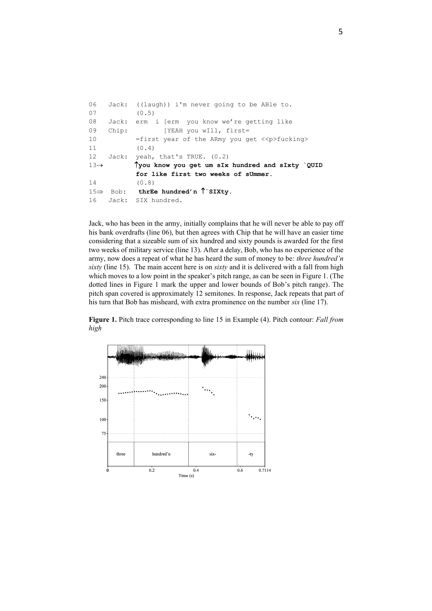| 06               |          | Jack: $((\text{laugh}))$ i'm never going to be ABle to.         |
|------------------|----------|-----------------------------------------------------------------|
| 07               |          | (0.5)                                                           |
| 08               | Jack:    | erm i [erm you know we're getting like                          |
| 09               | Chip:    | [YEAH you wIll, first=                                          |
| 10               |          | $=$ first year of the ARmy you get $\langle p \rangle$ fucking> |
| 11               |          | (0.4)                                                           |
| 12               |          | Jack: yeah, that's TRUE. (0.2)                                  |
| $13 \rightarrow$ |          | Tyou know you get um sIx hundred and sIxty `QUID                |
|                  |          | for like first two weeks of sUmmer.                             |
| 14               |          | (0.8)                                                           |
|                  |          | 15 $\Rightarrow$ Bob: thrEe hundred'n $\uparrow$ SIXty.         |
|                  | 16 Jack: | SIX hundred.                                                    |

Jack, who has been in the army, initially complains that he will never be able to pay off his bank overdrafts (line 06), but then agrees with Chip that he will have an easier time considering that a sizeable sum of six hundred and sixty pounds is awarded for the first two weeks of military service (line 13). After a delay, Bob, who has no experience of the army, now does a repeat of what he has heard the sum of money to be: *three hundred'n sixty* (line 15). The main accent here is on *sixty* and it is delivered with a fall from high which moves to a low point in the speaker's pitch range, as can be seen in Figure 1. (The dotted lines in Figure 1 mark the upper and lower bounds of Bob's pitch range). The pitch span covered is approximately 12 semitones. In response, Jack repeats that part of his turn that Bob has misheard, with extra prominence on the number *six* (line 17).

**Figure 1.** Pitch trace corresponding to line 15 in Example (4). Pitch contour: *Fall from high*

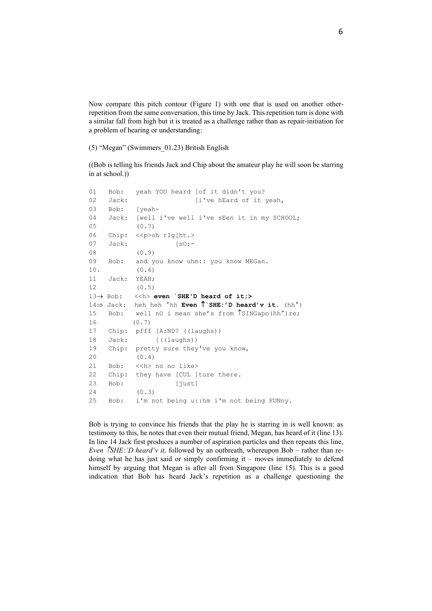Now compare this pitch contour (Figure 1) with one that is used on another otherrepetition from the same conversation, this time by Jack. This repetition turn is done with a similar fall from high but it is treated as a challenge rather than as repair-initiation for a problem of hearing or understanding:

(5) "Megan" (Swimmers\_01.23) British English

((Bob is telling his friends Jack and Chip about the amateur play he will soon be starring in at school.))

```
01 Bob: yeah YOU heard [of it didn't you?
02 Jack: [i've hEard of it yeah,
03 Bob: [yeah-
04 Jack: [well i've well i've sEen it in my SCHOOL;
05 (0.7)
06 Chip: << p>oh rIg[ht.>
07 Jack: [s0:-
08 (0.9)
09 Bob: and you know uhm:: you know MEGan.
10. (0.4)
11 Jack: YEAH;
12 (0.5)
13→ Bob: <<h> even `SHE'D heard of it;>
14 \Rightarrow Jack: heh heh \textdegreehh Even \uparrow SHE:'D heard'v it. (hh\textdegree)
15 Bob: well nO i mean she's from \intSINGapo(hh°)re;
16 (0.7)
17 Chip: pfff [A:ND? ((laughs))
18 Jack: [((laughs))
19 Chip: pretty sure they've you know,
20 (0.4)
21 Bob: << h> no no like>
22 Chip: they have [CUL ]ture there.
23 Bob: [just]
24 (0.3)
25 Bob: i'm not being u::hm i'm not being FUNny.
```
Bob is trying to convince his friends that the play he is starring in is well known: as testimony to this, he notes that even their mutual friend, Megan, has heard of it (line 13). In line 14 Jack first produces a number of aspiration particles and then repeats this line, *Even SHE:'D heard'v it,* followed by an outbreath, whereupon Bob – rather than redoing what he has just said or simply confirming it – moves immediately to defend himself by arguing that Megan is after all from Singapore (line 15). This is a good indication that Bob has heard Jack's repetition as a challenge questioning the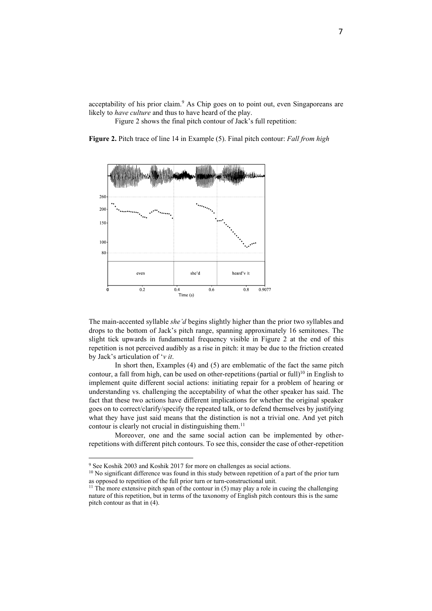acceptability of his prior claim.<sup>9</sup> As Chip goes on to point out, even Singaporeans are likely to *have culture* and thus to have heard of the play.

Figure 2 shows the final pitch contour of Jack's full repetition:

**Figure 2.** Pitch trace of line 14 in Example (5). Final pitch contour: *Fall from high*



The main-accented syllable *she'd* begins slightly higher than the prior two syllables and drops to the bottom of Jack's pitch range, spanning approximately 16 semitones. The slight tick upwards in fundamental frequency visible in Figure 2 at the end of this repetition is not perceived audibly as a rise in pitch: it may be due to the friction created by Jack's articulation of '*v it*.

In short then, Examples (4) and (5) are emblematic of the fact the same pitch contour, a fall from high, can be used on other-repetitions (partial or full)<sup>10</sup> in English to implement quite different social actions: initiating repair for a problem of hearing or understanding vs. challenging the acceptability of what the other speaker has said. The fact that these two actions have different implications for whether the original speaker goes on to correct/clarify/specify the repeated talk, or to defend themselves by justifying what they have just said means that the distinction is not a trivial one. And yet pitch contour is clearly not crucial in distinguishing them.<sup>11</sup>

Moreover, one and the same social action can be implemented by otherrepetitions with different pitch contours. To see this, consider the case of other-repetition

<sup>&</sup>lt;sup>9</sup> See Koshik 2003 and Koshik 2017 for more on challenges as social actions.

<sup>&</sup>lt;sup>10</sup> No significant difference was found in this study between repetition of a part of the prior turn as opposed to repetition of the full prior turn or turn-constructional unit.

 $11$  The more extensive pitch span of the contour in (5) may play a role in cueing the challenging nature of this repetition, but in terms of the taxonomy of English pitch contours this is the same pitch contour as that in (4).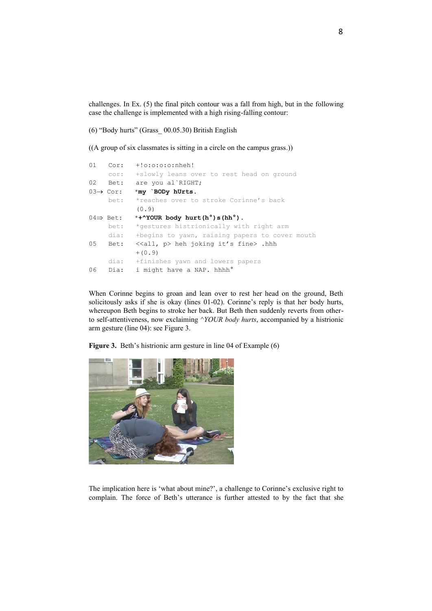challenges. In Ex. (5) the final pitch contour was a fall from high, but in the following case the challenge is implemented with a high rising-falling contour:

(6) "Body hurts" (Grass\_ 00.05.30) British English

((A group of six classmates is sitting in a circle on the campus grass.))

```
01 Cor: +!o:o:o:o:nheh!
     cor: +slowly leans over to rest head on ground
02 Bet: are you al`RIGHT;
03→ Cor: *my `BODy hUrts.
    bet: *reaches over to stroke Corinne's back
            (0.9)
04 \Rightarrow Bet: *+^YOUR body hurt(h°)s(hh°).
     bet: *gestures histrionically with right arm
     dia: +begins to yawn, raising papers to cover mouth 
05 Bet: <<all, p> heh joking it's fine> .hhh
           +(0.9) dia: +finishes yawn and lowers papers
06 Dia: i might have a NAP. hhhh°
```
When Corinne begins to groan and lean over to rest her head on the ground, Beth solicitously asks if she is okay (lines 01-02). Corinne's reply is that her body hurts, whereupon Beth begins to stroke her back. But Beth then suddenly reverts from otherto self-attentiveness, now exclaiming ^*YOUR body hurts*, accompanied by a histrionic arm gesture (line 04): see Figure 3.

**Figure 3.** Beth's histrionic arm gesture in line 04 of Example (6)



The implication here is 'what about mine?', a challenge to Corinne's exclusive right to complain. The force of Beth's utterance is further attested to by the fact that she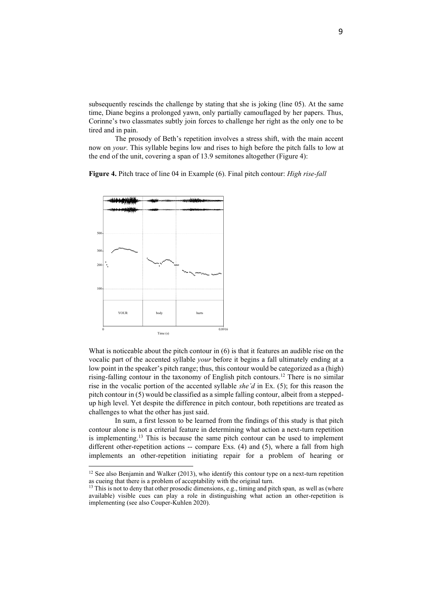subsequently rescinds the challenge by stating that she is joking (line 05). At the same time, Diane begins a prolonged yawn, only partially camouflaged by her papers. Thus, Corinne's two classmates subtly join forces to challenge her right as the only one to be tired and in pain.

The prosody of Beth's repetition involves a stress shift, with the main accent now on *your*. This syllable begins low and rises to high before the pitch falls to low at the end of the unit, covering a span of 13.9 semitones altogether (Figure 4):

**Figure 4.** Pitch trace of line 04 in Example (6). Final pitch contour: *High rise-fall*



What is noticeable about the pitch contour in (6) is that it features an audible rise on the vocalic part of the accented syllable *your* before it begins a fall ultimately ending at a low point in the speaker's pitch range; thus, this contour would be categorized as a (high) rising-falling contour in the taxonomy of English pitch contours.<sup>12</sup> There is no similar rise in the vocalic portion of the accented syllable *she'd* in Ex. (5); for this reason the pitch contour in (5) would be classified as a simple falling contour, albeit from a steppedup high level. Yet despite the difference in pitch contour, both repetitions are treated as challenges to what the other has just said.

In sum, a first lesson to be learned from the findings of this study is that pitch contour alone is not a criterial feature in determining what action a next-turn repetition is implementing.<sup>13</sup> This is because the same pitch contour can be used to implement different other-repetition actions -- compare Exs. (4) and (5), where a fall from high implements an other-repetition initiating repair for a problem of hearing or

<sup>&</sup>lt;sup>12</sup> See also Benjamin and Walker (2013), who identify this contour type on a next-turn repetition as cueing that there is a problem of acceptability with the original turn.

<sup>&</sup>lt;sup>13</sup> This is not to deny that other prosodic dimensions, e.g., timing and pitch span, as well as (where available) visible cues can play a role in distinguishing what action an other-repetition is implementing (see also Couper-Kuhlen 2020).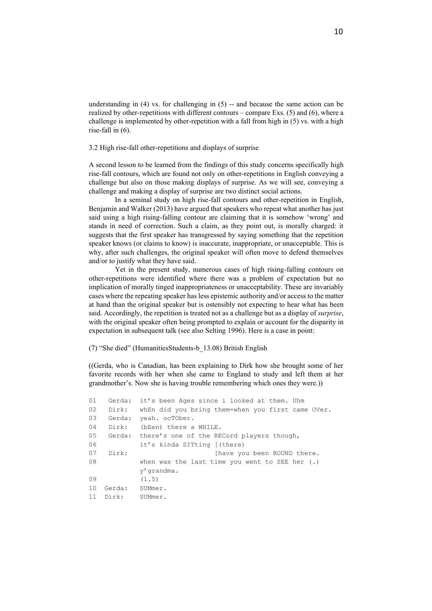understanding in  $(4)$  vs. for challenging in  $(5)$  -- and because the same action can be realized by other-repetitions with different contours – compare Exs. (5) and (6), where a challenge is implemented by other-repetition with a fall from high in (5) vs. with a high rise-fall in (6).

3.2 High rise-fall other-repetitions and displays of surprise

A second lesson to be learned from the findings of this study concerns specifically high rise-fall contours, which are found not only on other-repetitions in English conveying a challenge but also on those making displays of surprise. As we will see, conveying a challenge and making a display of surprise are two distinct social actions.

In a seminal study on high rise-fall contours and other-repetition in English, Benjamin and Walker (2013) have argued that speakers who repeat what another has just said using a high rising-falling contour are claiming that it is somehow 'wrong' and stands in need of correction. Such a claim, as they point out, is morally charged: it suggests that the first speaker has transgressed by saying something that the repetition speaker knows (or claims to know) is inaccurate, inappropriate, or unacceptable. This is why, after such challenges, the original speaker will often move to defend themselves and/or to justify what they have said.

Yet in the present study, numerous cases of high rising-falling contours on other-repetitions were identified where there was a problem of expectation but no implication of morally tinged inappropriateness or unacceptability. These are invariably cases where the repeating speaker has less epistemic authority and/or access to the matter at hand than the original speaker but is ostensibly not expecting to hear what has been said. Accordingly, the repetition is treated not as a challenge but as a display of *surprise*, with the original speaker often being prompted to explain or account for the disparity in expectation in subsequent talk (see also Selting 1996). Here is a case in point:

(7) "She died" (HumanitiesStudents-b\_13.08) British English

((Gerda, who is Canadian, has been explaining to Dirk how she brought some of her favorite records with her when she came to England to study and left them at her grandmother's. Now she is having trouble remembering which ones they were.))

```
01 Gerda: it's been Ages since i looked at them. Uhm
02 Dirk: whEn did you bring them=when you first came OVer.
03 Gerda: yeah. ocTOber.
04 Dirk: (bEen) there a WHILE.
05 Gerda: there's one of the RECord players though,
06 it's kinda SITting [(there)
07 Dirk: [have you been ROUND there.
08 when was the last time you went to SEE her (.)
            y'grandma.
09 (1.5)
10 Gerda: SUMmer. 
11 Dirk: SUMmer.
```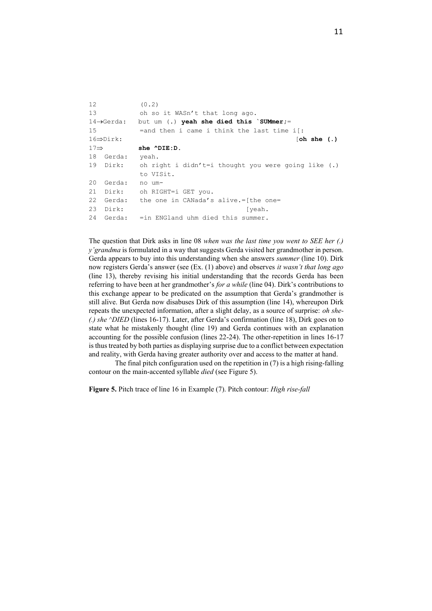| 12               |                         | (0, 2)                                                |
|------------------|-------------------------|-------------------------------------------------------|
| 13               |                         | oh so it WASn't that long ago.                        |
|                  | $14 \rightarrow$ Gerda: | but um (.) yeah she died this `SUMmer;=               |
| 15               |                         | $=$ and then i came i think the last time if:         |
|                  | $16 \Rightarrow$ Dirk:  | [oh, she(.)]                                          |
| $17 \Rightarrow$ |                         | $she$ $^{\wedge}$ $DE:D.$                             |
|                  | 18 Gerda:               | yeah.                                                 |
|                  | 19 Dirk:                | oh right i didn't=i thought you were going like $(.)$ |
|                  |                         | to VISit.                                             |
| 20               | Gerda:                  | no um-                                                |
| 21               |                         | Dirk: oh RIGHT=i GET you.                             |
| 22               | Gerda:                  | the one in CANada's alive.=[the one=                  |
| 23               | Dirk:                   | [yeah.                                                |
| 24               | Gerda:                  | =in ENGland uhm died this summer.                     |

The question that Dirk asks in line 08 *when was the last time you went to SEE her (.) y'grandma* is formulated in a way that suggests Gerda visited her grandmother in person. Gerda appears to buy into this understanding when she answers *summer* (line 10). Dirk now registers Gerda's answer (see (Ex. (1) above) and observes *it wasn't that long ago* (line 13), thereby revising his initial understanding that the records Gerda has been referring to have been at her grandmother's *for a while* (line 04). Dirk's contributions to this exchange appear to be predicated on the assumption that Gerda's grandmother is still alive. But Gerda now disabuses Dirk of this assumption (line 14), whereupon Dirk repeats the unexpected information, after a slight delay, as a source of surprise: *oh she- (.) she ^DIED* (lines 16-17). Later, after Gerda's confirmation (line 18), Dirk goes on to state what he mistakenly thought (line 19) and Gerda continues with an explanation accounting for the possible confusion (lines 22-24). The other-repetition in lines 16-17 is thus treated by both parties as displaying surprise due to a conflict between expectation and reality, with Gerda having greater authority over and access to the matter at hand.

The final pitch configuration used on the repetition in  $(7)$  is a high rising-falling contour on the main-accented syllable *died* (see Figure 5).

**Figure 5.** Pitch trace of line 16 in Example (7). Pitch contour: *High rise-fall*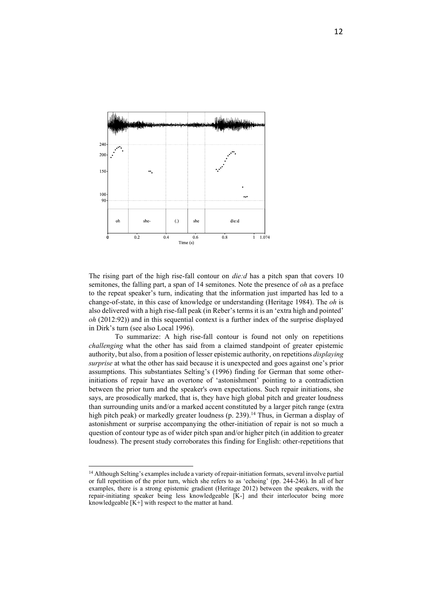

The rising part of the high rise-fall contour on *die:d* has a pitch span that covers 10 semitones, the falling part, a span of 14 semitones. Note the presence of *oh* as a preface to the repeat speaker's turn, indicating that the information just imparted has led to a change-of-state, in this case of knowledge or understanding (Heritage 1984). The *oh* is also delivered with a high rise-fall peak (in Reber's terms it is an 'extra high and pointed' *oh* (2012:92)) and in this sequential context is a further index of the surprise displayed in Dirk's turn (see also Local 1996).

To summarize: A high rise-fall contour is found not only on repetitions *challenging* what the other has said from a claimed standpoint of greater epistemic authority, but also, from a position of lesser epistemic authority, on repetitions *displaying surprise* at what the other has said because it is unexpected and goes against one's prior assumptions. This substantiates Selting's (1996) finding for German that some otherinitiations of repair have an overtone of 'astonishment' pointing to a contradiction between the prior turn and the speaker's own expectations. Such repair initiations, she says, are prosodically marked, that is, they have high global pitch and greater loudness than surrounding units and/or a marked accent constituted by a larger pitch range (extra high pitch peak) or markedly greater loudness (p. 239).<sup>14</sup> Thus, in German a display of astonishment or surprise accompanying the other-initiation of repair is not so much a question of contour type as of wider pitch span and/or higher pitch (in addition to greater loudness). The present study corroborates this finding for English: other-repetitions that

<sup>&</sup>lt;sup>14</sup> Although Selting's examples include a variety of repair-initiation formats, several involve partial or full repetition of the prior turn, which she refers to as 'echoing' (pp. 244-246). In all of her examples, there is a strong epistemic gradient (Heritage 2012) between the speakers, with the repair-initiating speaker being less knowledgeable [K-] and their interlocutor being more knowledgeable  $[K+]$  with respect to the matter at hand.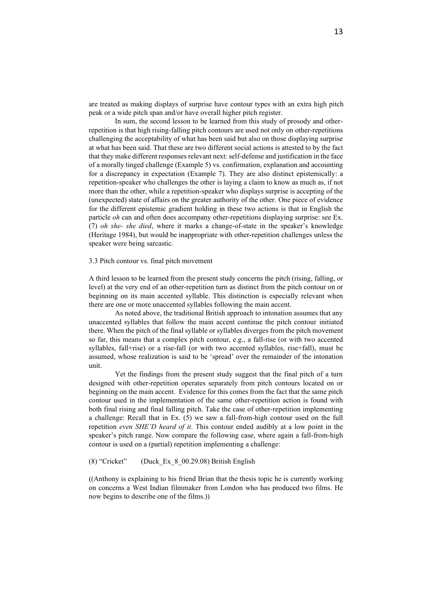are treated as making displays of surprise have contour types with an extra high pitch peak or a wide pitch span and/or have overall higher pitch register.

In sum, the second lesson to be learned from this study of prosody and otherrepetition is that high rising-falling pitch contours are used not only on other-repetitions challenging the acceptability of what has been said but also on those displaying surprise at what has been said. That these are two different social actions is attested to by the fact that they make different responses relevant next: self-defense and justification in the face of a morally tinged challenge (Example 5) vs. confirmation, explanation and accounting for a discrepancy in expectation (Example 7). They are also distinct epistemically: a repetition-speaker who challenges the other is laying a claim to know as much as, if not more than the other, while a repetition-speaker who displays surprise is accepting of the (unexpected) state of affairs on the greater authority of the other. One piece of evidence for the different epistemic gradient holding in these two actions is that in English the particle *oh* can and often does accompany other-repetitions displaying surprise: see Ex. (7) *oh she- she died*, where it marks a change-of-state in the speaker's knowledge (Heritage 1984), but would be inappropriate with other-repetition challenges unless the speaker were being sarcastic.

#### 3.3 Pitch contour vs. final pitch movement

A third lesson to be learned from the present study concerns the pitch (rising, falling, or level) at the very end of an other-repetition turn as distinct from the pitch contour on or beginning on its main accented syllable. This distinction is especially relevant when there are one or more unaccented syllables following the main accent.

As noted above, the traditional British approach to intonation assumes that any unaccented syllables that follow the main accent continue the pitch contour initiated there. When the pitch of the final syllable or syllables diverges from the pitch movement so far, this means that a complex pitch contour, e.g., a fall-rise (or with two accented syllables, fall+rise) or a rise-fall (or with two accented syllables, rise+fall), must be assumed, whose realization is said to be 'spread' over the remainder of the intonation unit.

Yet the findings from the present study suggest that the final pitch of a turn designed with other-repetition operates separately from pitch contours located on or beginning on the main accent. Evidence for this comes from the fact that the same pitch contour used in the implementation of the same other-repetition action is found with both final rising and final falling pitch. Take the case of other-repetition implementing a challenge: Recall that in Ex. (5) we saw a fall-from-high contour used on the full repetition *even SHE'D heard of it*. This contour ended audibly at a low point in the speaker's pitch range. Now compare the following case, where again a fall-from-high contour is used on a (partial) repetition implementing a challenge:

(8) "Cricket" (Duck\_Ex\_8\_00.29.08) British English

((Anthony is explaining to his friend Brian that the thesis topic he is currently working on concerns a West Indian filmmaker from London who has produced two films. He now begins to describe one of the films.))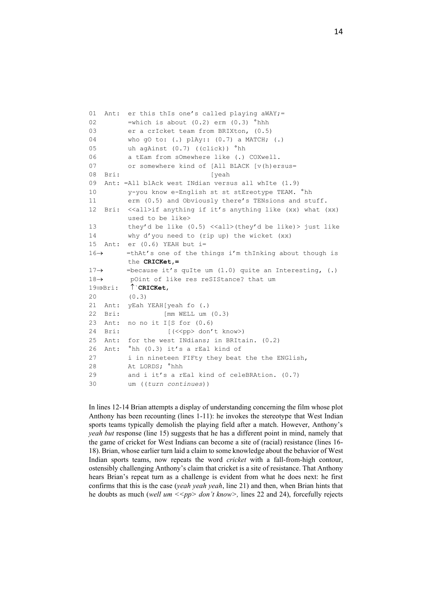```
01 Ant: er this thIs one's called playing aWAY;=
02 =which is about (0.2) erm (0.3) <sup>o</sup>hhh
03 er a crIcket team from BRIXton, (0.5)
04 who gO to: (.) plAy:: (0.7) a MATCH; (.)
05 uh agAinst (0.7) ((click)) °hh
06 a tEam from sOmewhere like (.) COXwell.
07 or somewhere kind of [All BLACK [v(h)ersus=
08 Bri: [yeah
09 Ant: =All blAck west INdian versus all whIte (1.9)
10 y-you know e-English st st stEreotype TEAM. °hh
11 erm (0.5) and Obviously there's TENsions and stuff.
12 Bri: <<all>if anything if it's anything like (xx) what (xx)
         used to be like>
13 they'd be like (0.5) <<all>(they'd be like)> just like
14 why d'you need to (rip up) the wicket (xx)
15 Ant: er (0.6) YEAH but i=
16→ =thAt's one of the things i'm thInking about though is
          the CRICKet,=
17→ =because it's quIte um (1.0) quite an Interesting, (.) 
18→ pOint of like res reSIStance? that um
19⇒Bri: <sup>↑</sup>`CRICKet,
20 (0.3)
21 Ant: yEah YEAH[yeah fo (.) 
22 Bri: [mm WELL um (0.3)
23 Ant: no no it I[S for (0.6)
24 Bri: [(<<pp> don't know>)
25 Ant: for the west INdians; in BRItain. (0.2)
26 Ant: °hh (0.3) it's a rEal kind of
27 i in nineteen FIFty they beat the the ENGlish,
28 At LORDS; °hhh
29 and i it's a rEal kind of celeBRAtion. (0.7)
30 um ((turn continues))
```
In lines 12-14 Brian attempts a display of understanding concerning the film whose plot Anthony has been recounting (lines 1-11): he invokes the stereotype that West Indian sports teams typically demolish the playing field after a match. However, Anthony's *yeah but* response (line 15) suggests that he has a different point in mind, namely that the game of cricket for West Indians can become a site of (racial) resistance (lines 16- 18). Brian, whose earlier turn laid a claim to some knowledge about the behavior of West Indian sports teams, now repeats the word *cricket* with a fall-from-high contour, ostensibly challenging Anthony's claim that cricket is a site of resistance. That Anthony hears Brian's repeat turn as a challenge is evident from what he does next: he first confirms that this is the case (*yeah yeah yeah*, line 21) and then, when Brian hints that he doubts as much (*well um <<pp> don't know>,* lines 22 and 24), forcefully rejects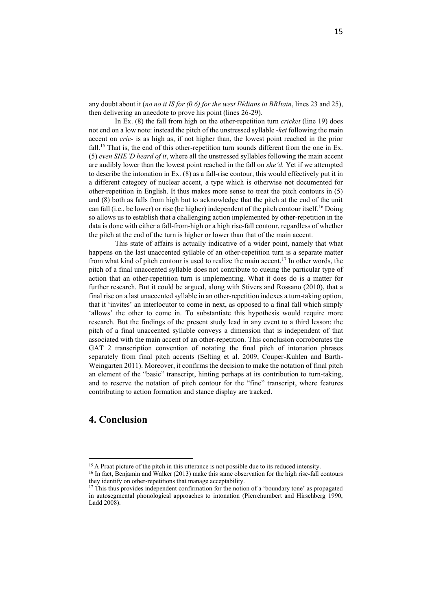any doubt about it (*no no it IS for (0.6) for the west INdians in BRItain*, lines 23 and 25), then delivering an anecdote to prove his point (lines 26-29).

In Ex. (8) the fall from high on the other-repetition turn *cricket* (line 19) does not end on a low note: instead the pitch of the unstressed syllable -*ket* following the main accent on *cric-* is as high as, if not higher than, the lowest point reached in the prior fall.<sup>15</sup> That is, the end of this other-repetition turn sounds different from the one in Ex. (5) *even SHE'D heard of it*, where all the unstressed syllables following the main accent are audibly lower than the lowest point reached in the fall on *she'd.* Yet if we attempted to describe the intonation in Ex.  $(8)$  as a fall-rise contour, this would effectively put it in a different category of nuclear accent, a type which is otherwise not documented for other-repetition in English. It thus makes more sense to treat the pitch contours in (5) and (8) both as falls from high but to acknowledge that the pitch at the end of the unit can fall (i.e., be lower) or rise (be higher) independent of the pitch contour itself.<sup>16</sup> Doing so allows us to establish that a challenging action implemented by other-repetition in the data is done with either a fall-from-high or a high rise-fall contour, regardless of whether the pitch at the end of the turn is higher or lower than that of the main accent.

This state of affairs is actually indicative of a wider point, namely that what happens on the last unaccented syllable of an other-repetition turn is a separate matter from what kind of pitch contour is used to realize the main accent.<sup>17</sup> In other words, the pitch of a final unaccented syllable does not contribute to cueing the particular type of action that an other-repetition turn is implementing. What it does do is a matter for further research. But it could be argued, along with Stivers and Rossano (2010), that a final rise on a last unaccented syllable in an other-repetition indexes a turn-taking option, that it 'invites' an interlocutor to come in next, as opposed to a final fall which simply 'allows' the other to come in. To substantiate this hypothesis would require more research. But the findings of the present study lead in any event to a third lesson: the pitch of a final unaccented syllable conveys a dimension that is independent of that associated with the main accent of an other-repetition. This conclusion corroborates the GAT 2 transcription convention of notating the final pitch of intonation phrases separately from final pitch accents (Selting et al. 2009, Couper-Kuhlen and Barth-Weingarten 2011). Moreover, it confirms the decision to make the notation of final pitch an element of the "basic" transcript, hinting perhaps at its contribution to turn-taking, and to reserve the notation of pitch contour for the "fine" transcript, where features contributing to action formation and stance display are tracked.

## **4. Conclusion**

<sup>&</sup>lt;sup>15</sup> A Praat picture of the pitch in this utterance is not possible due to its reduced intensity.

<sup>&</sup>lt;sup>16</sup> In fact, Benjamin and Walker (2013) make this same observation for the high rise-fall contours they identify on other-repetitions that manage acceptability.

<sup>&</sup>lt;sup>17</sup> This thus provides independent confirmation for the notion of a 'boundary tone' as propagated in autosegmental phonological approaches to intonation (Pierrehumbert and Hirschberg 1990, Ladd 2008).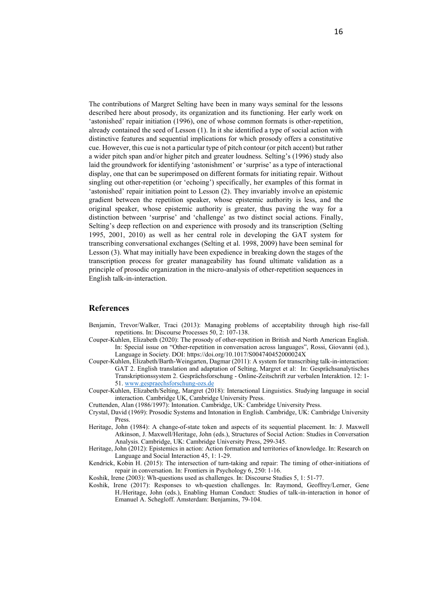The contributions of Margret Selting have been in many ways seminal for the lessons described here about prosody, its organization and its functioning. Her early work on 'astonished' repair initiation (1996), one of whose common formats is other-repetition, already contained the seed of Lesson (1). In it she identified a type of social action with distinctive features and sequential implications for which prosody offers a constitutive cue. However, this cue is not a particular type of pitch contour (or pitch accent) but rather a wider pitch span and/or higher pitch and greater loudness. Selting's (1996) study also laid the groundwork for identifying 'astonishment' or 'surprise' as a type of interactional display, one that can be superimposed on different formats for initiating repair. Without singling out other-repetition (or 'echoing') specifically, her examples of this format in 'astonished' repair initiation point to Lesson (2). They invariably involve an epistemic gradient between the repetition speaker, whose epistemic authority is less, and the original speaker, whose epistemic authority is greater, thus paving the way for a distinction between 'surprise' and 'challenge' as two distinct social actions. Finally, Selting's deep reflection on and experience with prosody and its transcription (Selting 1995, 2001, 2010) as well as her central role in developing the GAT system for transcribing conversational exchanges (Selting et al. 1998, 2009) have been seminal for Lesson (3). What may initially have been expedience in breaking down the stages of the transcription process for greater manageability has found ultimate validation as a principle of prosodic organization in the micro-analysis of other-repetition sequences in English talk-in-interaction.

#### **References**

- Benjamin, Trevor/Walker, Traci (2013): Managing problems of acceptability through high rise-fall repetitions. In: Discourse Processes 50, 2: 107-138.
- Couper-Kuhlen, Elizabeth (2020): The prosody of other-repetition in British and North American English. In: Special issue on "Other-repetition in conversation across languages", Rossi, Giovanni (ed.), Language in Society. DOI: <https://doi.org/10.1017/S004740452000024X>
- Couper-Kuhlen, Elizabeth/Barth-Weingarten, Dagmar (2011): A system for transcribing talk-in-interaction: GAT 2. English translation and adaptation of Selting, Margret et al: In: Gesprächsanalytisches Transkriptionssystem 2. Gesprächsforschung - Online-Zeitschrift zur verbalen Interaktion. 12: 1- 51. [www.gespraechsforschung-ozs.de](http://www.gespraechsforschung-ozs.de/)
- Couper-Kuhlen, Elizabeth/Selting, Margret (2018): Interactional Linguistics. Studying language in social interaction. Cambridge UK, Cambridge University Press.
- Cruttenden, Alan (1986/1997): Intonation. Cambridge, UK: Cambridge University Press.
- Crystal, David (1969): Prosodic Systems and Intonation in English. Cambridge, UK: Cambridge University Press.
- Heritage, John (1984): A change-of-state token and aspects of its sequential placement. In: J. Maxwell Atkinson, J. Maxwell/Heritage, John (eds.), Structures of Social Action: Studies in Conversation Analysis. Cambridge, UK: Cambridge University Press, 299-345.
- Heritage, John (2012): Epistemics in action: Action formation and territories of knowledge. In: Research on Language and Social Interaction 45, 1: 1-29.
- Kendrick, Kobin H. (2015): The intersection of turn-taking and repair: The timing of other-initiations of repair in conversation. In: Frontiers in Psychology 6, 250: 1-16.

Koshik, Irene (2003): Wh-questions used as challenges. In: Discourse Studies 5, 1: 51-77.

Koshik, Irene (2017): Responses to wh-question challenges. In: Raymond, Geoffrey/Lerner, Gene H./Heritage, John (eds.), Enabling Human Conduct: Studies of talk-in-interaction in honor of Emanuel A. Schegloff. Amsterdam: Benjamins, 79-104.